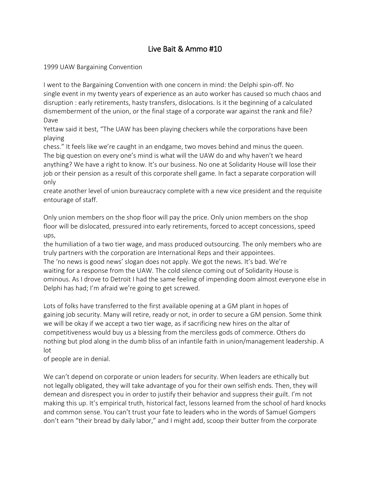# Live Bait & Ammo #10

1999 UAW Bargaining Convention

I went to the Bargaining Convention with one concern in mind: the Delphi spin-off. No single event in my twenty years of experience as an auto worker has caused so much chaos and disruption : early retirements, hasty transfers, dislocations. Is it the beginning of a calculated dismemberment of the union, or the final stage of a corporate war against the rank and file? Dave

Yettaw said it best, "The UAW has been playing checkers while the corporations have been playing

chess." It feels like we're caught in an endgame, two moves behind and minus the queen. The big question on every one's mind is what will the UAW do and why haven't we heard anything? We have a right to know. It's our business. No one at Solidarity House will lose their job or their pension as a result of this corporate shell game. In fact a separate corporation will only

create another level of union bureaucracy complete with a new vice president and the requisite entourage of staff.

Only union members on the shop floor will pay the price. Only union members on the shop floor will be dislocated, pressured into early retirements, forced to accept concessions, speed ups,

the humiliation of a two tier wage, and mass produced outsourcing. The only members who are truly partners with the corporation are International Reps and their appointees. The 'no news is good news' slogan does not apply. We got the news. It's bad. We're waiting for a response from the UAW. The cold silence coming out of Solidarity House is ominous. As I drove to Detroit I had the same feeling of impending doom almost everyone else in Delphi has had; I'm afraid we're going to get screwed.

Lots of folks have transferred to the first available opening at a GM plant in hopes of gaining job security. Many will retire, ready or not, in order to secure a GM pension. Some think we will be okay if we accept a two tier wage, as if sacrificing new hires on the altar of competitiveness would buy us a blessing from the merciless gods of commerce. Others do nothing but plod along in the dumb bliss of an infantile faith in union/management leadership. A lot

of people are in denial.

We can't depend on corporate or union leaders for security. When leaders are ethically but not legally obligated, they will take advantage of you for their own selfish ends. Then, they will demean and disrespect you in order to justify their behavior and suppress their guilt. I'm not making this up. It's empirical truth, historical fact, lessons learned from the school of hard knocks and common sense. You can't trust your fate to leaders who in the words of Samuel Gompers don't earn "their bread by daily labor," and I might add, scoop their butter from the corporate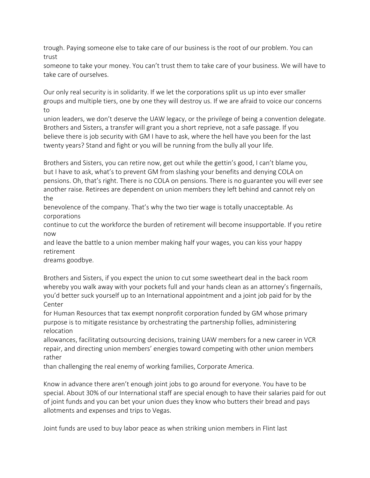trough. Paying someone else to take care of our business is the root of our problem. You can trust

someone to take your money. You can't trust them to take care of your business. We will have to take care of ourselves.

Our only real security is in solidarity. If we let the corporations split us up into ever smaller groups and multiple tiers, one by one they will destroy us. If we are afraid to voice our concerns to

union leaders, we don't deserve the UAW legacy, or the privilege of being a convention delegate. Brothers and Sisters, a transfer will grant you a short reprieve, not a safe passage. If you believe there is job security with GM I have to ask, where the hell have you been for the last twenty years? Stand and fight or you will be running from the bully all your life.

Brothers and Sisters, you can retire now, get out while the gettin's good, I can't blame you, but I have to ask, what's to prevent GM from slashing your benefits and denying COLA on pensions. Oh, that's right. There is no COLA on pensions. There is no guarantee you will ever see another raise. Retirees are dependent on union members they left behind and cannot rely on the

benevolence of the company. That's why the two tier wage is totally unacceptable. As corporations

continue to cut the workforce the burden of retirement will become insupportable. If you retire now

and leave the battle to a union member making half your wages, you can kiss your happy retirement

dreams goodbye.

Brothers and Sisters, if you expect the union to cut some sweetheart deal in the back room whereby you walk away with your pockets full and your hands clean as an attorney's fingernails, you'd better suck yourself up to an International appointment and a joint job paid for by the Center

for Human Resources that tax exempt nonprofit corporation funded by GM whose primary purpose is to mitigate resistance by orchestrating the partnership follies, administering relocation

allowances, facilitating outsourcing decisions, training UAW members for a new career in VCR repair, and directing union members' energies toward competing with other union members rather

than challenging the real enemy of working families, Corporate America.

Know in advance there aren't enough joint jobs to go around for everyone. You have to be special. About 30% of our International staff are special enough to have their salaries paid for out of joint funds and you can bet your union dues they know who butters their bread and pays allotments and expenses and trips to Vegas.

Joint funds are used to buy labor peace as when striking union members in Flint last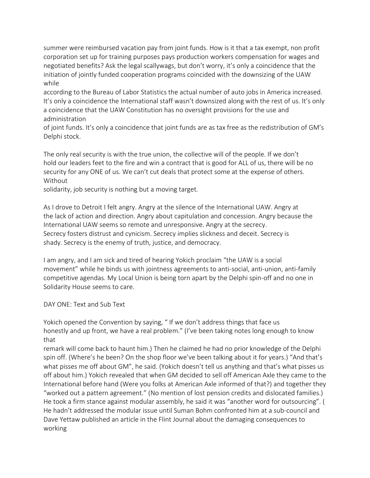summer were reimbursed vacation pay from joint funds. How is it that a tax exempt, non profit corporation set up for training purposes pays production workers compensation for wages and negotiated benefits? Ask the legal scallywags, but don't worry, it's only a coincidence that the initiation of jointly funded cooperation programs coincided with the downsizing of the UAW while

according to the Bureau of Labor Statistics the actual number of auto jobs in America increased. It's only a coincidence the International staff wasn't downsized along with the rest of us. It's only a coincidence that the UAW Constitution has no oversight provisions for the use and administration

of joint funds. It's only a coincidence that joint funds are as tax free as the redistribution of GM's Delphi stock.

The only real security is with the true union, the collective will of the people. If we don't hold our leaders feet to the fire and win a contract that is good for ALL of us, there will be no security for any ONE of us. We can't cut deals that protect some at the expense of others. Without

solidarity, job security is nothing but a moving target.

As I drove to Detroit I felt angry. Angry at the silence of the International UAW. Angry at the lack of action and direction. Angry about capitulation and concession. Angry because the International UAW seems so remote and unresponsive. Angry at the secrecy. Secrecy fosters distrust and cynicism. Secrecy implies slickness and deceit. Secrecy is shady. Secrecy is the enemy of truth, justice, and democracy.

I am angry, and I am sick and tired of hearing Yokich proclaim "the UAW is a social movement" while he binds us with jointness agreements to anti-social, anti-union, anti-family competitive agendas. My Local Union is being torn apart by the Delphi spin-off and no one in Solidarity House seems to care.

#### DAY ONE: Text and Sub Text

Yokich opened the Convention by saying, " If we don't address things that face us honestly and up front, we have a real problem." (I've been taking notes long enough to know that

remark will come back to haunt him.) Then he claimed he had no prior knowledge of the Delphi spin off. (Where's he been? On the shop floor we've been talking about it for years.) "And that's what pisses me off about GM", he said. (Yokich doesn't tell us anything and that's what pisses us off about him.) Yokich revealed that when GM decided to sell off American Axle they came to the International before hand (Were you folks at American Axle informed of that?) and together they "worked out a pattern agreement." (No mention of lost pension credits and dislocated families.) He took a firm stance against modular assembly, he said it was "another word for outsourcing". ( He hadn't addressed the modular issue until Suman Bohm confronted him at a sub-council and Dave Yettaw published an article in the Flint Journal about the damaging consequences to working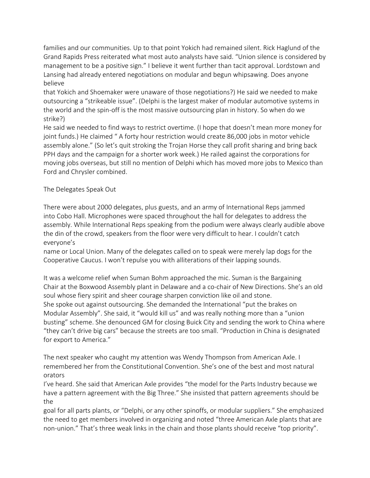families and our communities. Up to that point Yokich had remained silent. Rick Haglund of the Grand Rapids Press reiterated what most auto analysts have said. "Union silence is considered by management to be a positive sign." I believe it went further than tacit approval. Lordstown and Lansing had already entered negotiations on modular and begun whipsawing. Does anyone believe

that Yokich and Shoemaker were unaware of those negotiations?) He said we needed to make outsourcing a "strikeable issue". (Delphi is the largest maker of modular automotive systems in the world and the spin-off is the most massive outsourcing plan in history. So when do we strike?)

He said we needed to find ways to restrict overtime. (I hope that doesn't mean more money for joint funds.) He claimed " A forty hour restriction would create 86,000 jobs in motor vehicle assembly alone." (So let's quit stroking the Trojan Horse they call profit sharing and bring back PPH days and the campaign for a shorter work week.) He railed against the corporations for moving jobs overseas, but still no mention of Delphi which has moved more jobs to Mexico than Ford and Chrysler combined.

### The Delegates Speak Out

There were about 2000 delegates, plus guests, and an army of International Reps jammed into Cobo Hall. Microphones were spaced throughout the hall for delegates to address the assembly. While International Reps speaking from the podium were always clearly audible above the din of the crowd, speakers from the floor were very difficult to hear. I couldn't catch everyone's

name or Local Union. Many of the delegates called on to speak were merely lap dogs for the Cooperative Caucus. I won't repulse you with alliterations of their lapping sounds.

It was a welcome relief when Suman Bohm approached the mic. Suman is the Bargaining Chair at the Boxwood Assembly plant in Delaware and a co-chair of New Directions. She's an old soul whose fiery spirit and sheer courage sharpen conviction like oil and stone. She spoke out against outsourcing. She demanded the International "put the brakes on Modular Assembly". She said, it "would kill us" and was really nothing more than a "union busting" scheme. She denounced GM for closing Buick City and sending the work to China where "they can't drive big cars" because the streets are too small. "Production in China is designated for export to America."

The next speaker who caught my attention was Wendy Thompson from American Axle. I remembered her from the Constitutional Convention. She's one of the best and most natural orators

I've heard. She said that American Axle provides "the model for the Parts Industry because we have a pattern agreement with the Big Three." She insisted that pattern agreements should be the

goal for all parts plants, or "Delphi, or any other spinoffs, or modular suppliers." She emphasized the need to get members involved in organizing and noted "three American Axle plants that are non-union." That's three weak links in the chain and those plants should receive "top priority".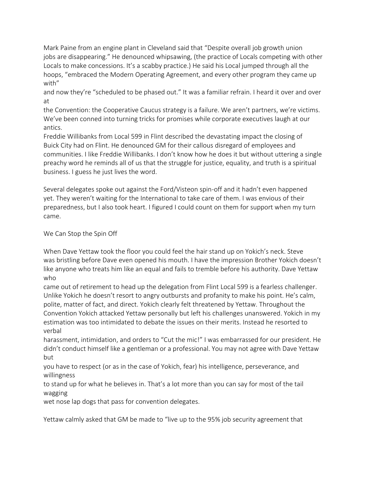Mark Paine from an engine plant in Cleveland said that "Despite overall job growth union jobs are disappearing." He denounced whipsawing, (the practice of Locals competing with other Locals to make concessions. It's a scabby practice.) He said his Local jumped through all the hoops, "embraced the Modern Operating Agreement, and every other program they came up with"

and now they're "scheduled to be phased out." It was a familiar refrain. I heard it over and over at

the Convention: the Cooperative Caucus strategy is a failure. We aren't partners, we're victims. We've been conned into turning tricks for promises while corporate executives laugh at our antics.

Freddie Willibanks from Local 599 in Flint described the devastating impact the closing of Buick City had on Flint. He denounced GM for their callous disregard of employees and communities. I like Freddie Willibanks. I don't know how he does it but without uttering a single preachy word he reminds all of us that the struggle for justice, equality, and truth is a spiritual business. I guess he just lives the word.

Several delegates spoke out against the Ford/Visteon spin-off and it hadn't even happened yet. They weren't waiting for the International to take care of them. I was envious of their preparedness, but I also took heart. I figured I could count on them for support when my turn came.

### We Can Stop the Spin Off

When Dave Yettaw took the floor you could feel the hair stand up on Yokich's neck. Steve was bristling before Dave even opened his mouth. I have the impression Brother Yokich doesn't like anyone who treats him like an equal and fails to tremble before his authority. Dave Yettaw who

came out of retirement to head up the delegation from Flint Local 599 is a fearless challenger. Unlike Yokich he doesn't resort to angry outbursts and profanity to make his point. He's calm, polite, matter of fact, and direct. Yokich clearly felt threatened by Yettaw. Throughout the Convention Yokich attacked Yettaw personally but left his challenges unanswered. Yokich in my estimation was too intimidated to debate the issues on their merits. Instead he resorted to verbal

harassment, intimidation, and orders to "Cut the mic!" I was embarrassed for our president. He didn't conduct himself like a gentleman or a professional. You may not agree with Dave Yettaw but

you have to respect (or as in the case of Yokich, fear) his intelligence, perseverance, and willingness

to stand up for what he believes in. That's a lot more than you can say for most of the tail wagging

wet nose lap dogs that pass for convention delegates.

Yettaw calmly asked that GM be made to "live up to the 95% job security agreement that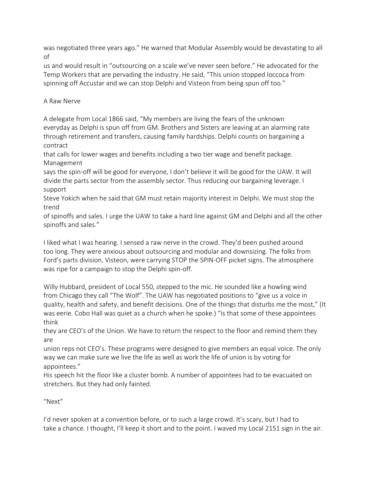was negotiated three years ago." He warned that Modular Assembly would be devastating to all of

us and would result in "outsourcing on a scale we've never seen before." He advocated for the Temp Workers that are pervading the industry. He said, "This union stopped Ioccoca from spinning off Accustar and we can stop Delphi and Visteon from being spun off too."

## A Raw Nerve

A delegate from Local 1866 said, "My members are living the fears of the unknown everyday as Delphi is spun off from GM. Brothers and Sisters are leaving at an alarming rate through retirement and transfers, causing family hardships. Delphi counts on bargaining a contract

that calls for lower wages and benefits including a two tier wage and benefit package. Management

says the spin-off will be good for everyone, I don't believe it will be good for the UAW. It will divide the parts sector from the assembly sector. Thus reducing our bargaining leverage. I support

Steve Yokich when he said that GM must retain majority interest in Delphi. We must stop the trend

of spinoffs and sales. I urge the UAW to take a hard line against GM and Delphi and all the other spinoffs and sales."

I liked what I was hearing. I sensed a raw nerve in the crowd. They'd been pushed around too long. They were anxious about outsourcing and modular and downsizing. The folks from Ford's parts division, Visteon, were carrying STOP the SPIN-OFF picket signs. The atmosphere was ripe for a campaign to stop the Delphi spin-off.

Willy Hubbard, president of Local 550, stepped to the mic. He sounded like a howling wind from Chicago they call "The Wolf". The UAW has negotiated positions to "give us a voice in quality, health and safety, and benefit decisions. One of the things that disturbs me the most," (It was eerie. Cobo Hall was quiet as a church when he spoke.) "is that some of these appointees think

they are CEO's of the Union. We have to return the respect to the floor and remind them they are

union reps not CEO's. These programs were designed to give members an equal voice. The only way we can make sure we live the life as well as work the life of union is by voting for appointees."

His speech hit the floor like a cluster bomb. A number of appointees had to be evacuated on stretchers. But they had only fainted.

"Next"

I'd never spoken at a convention before, or to such a large crowd. It's scary, but I had to take a chance. I thought, I'll keep it short and to the point. I waved my Local 2151 sign in the air.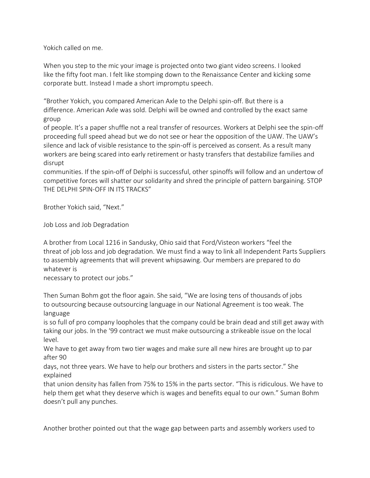Yokich called on me.

When you step to the mic your image is projected onto two giant video screens. I looked like the fifty foot man. I felt like stomping down to the Renaissance Center and kicking some corporate butt. Instead I made a short impromptu speech.

"Brother Yokich, you compared American Axle to the Delphi spin-off. But there is a difference. American Axle was sold. Delphi will be owned and controlled by the exact same group

of people. It's a paper shuffle not a real transfer of resources. Workers at Delphi see the spin-off proceeding full speed ahead but we do not see or hear the opposition of the UAW. The UAW's silence and lack of visible resistance to the spin-off is perceived as consent. As a result many workers are being scared into early retirement or hasty transfers that destabilize families and disrupt

communities. If the spin-off of Delphi is successful, other spinoffs will follow and an undertow of competitive forces will shatter our solidarity and shred the principle of pattern bargaining. STOP THE DELPHI SPIN-OFF IN ITS TRACKS"

Brother Yokich said, "Next."

Job Loss and Job Degradation

A brother from Local 1216 in Sandusky, Ohio said that Ford/Visteon workers "feel the threat of job loss and job degradation. We must find a way to link all Independent Parts Suppliers to assembly agreements that will prevent whipsawing. Our members are prepared to do whatever is

necessary to protect our jobs."

Then Suman Bohm got the floor again. She said, "We are losing tens of thousands of jobs to outsourcing because outsourcing language in our National Agreement is too weak. The language

is so full of pro company loopholes that the company could be brain dead and still get away with taking our jobs. In the '99 contract we must make outsourcing a strikeable issue on the local level.

We have to get away from two tier wages and make sure all new hires are brought up to par after 90

days, not three years. We have to help our brothers and sisters in the parts sector." She explained

that union density has fallen from 75% to 15% in the parts sector. "This is ridiculous. We have to help them get what they deserve which is wages and benefits equal to our own." Suman Bohm doesn't pull any punches.

Another brother pointed out that the wage gap between parts and assembly workers used to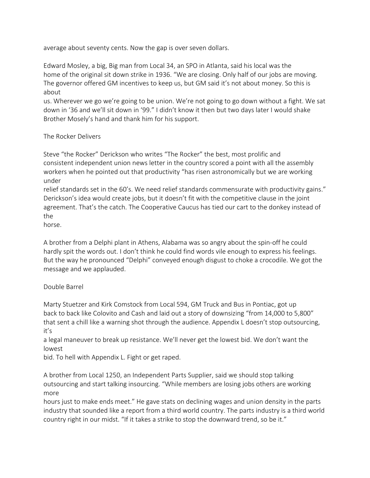average about seventy cents. Now the gap is over seven dollars.

Edward Mosley, a big, Big man from Local 34, an SPO in Atlanta, said his local was the home of the original sit down strike in 1936. "We are closing. Only half of our jobs are moving. The governor offered GM incentives to keep us, but GM said it's not about money. So this is about

us. Wherever we go we're going to be union. We're not going to go down without a fight. We sat down in '36 and we'll sit down in '99." I didn't know it then but two days later I would shake Brother Mosely's hand and thank him for his support.

The Rocker Delivers

Steve "the Rocker" Derickson who writes "The Rocker" the best, most prolific and consistent independent union news letter in the country scored a point with all the assembly workers when he pointed out that productivity "has risen astronomically but we are working under

relief standards set in the 60's. We need relief standards commensurate with productivity gains." Derickson's idea would create jobs, but it doesn't fit with the competitive clause in the joint agreement. That's the catch. The Cooperative Caucus has tied our cart to the donkey instead of the

horse.

A brother from a Delphi plant in Athens, Alabama was so angry about the spin-off he could hardly spit the words out. I don't think he could find words vile enough to express his feelings. But the way he pronounced "Delphi" conveyed enough disgust to choke a crocodile. We got the message and we applauded.

#### Double Barrel

Marty Stuetzer and Kirk Comstock from Local 594, GM Truck and Bus in Pontiac, got up back to back like Colovito and Cash and laid out a story of downsizing "from 14,000 to 5,800" that sent a chill like a warning shot through the audience. Appendix L doesn't stop outsourcing, it's

a legal maneuver to break up resistance. We'll never get the lowest bid. We don't want the lowest

bid. To hell with Appendix L. Fight or get raped.

A brother from Local 1250, an Independent Parts Supplier, said we should stop talking outsourcing and start talking insourcing. "While members are losing jobs others are working more

hours just to make ends meet." He gave stats on declining wages and union density in the parts industry that sounded like a report from a third world country. The parts industry is a third world country right in our midst. "If it takes a strike to stop the downward trend, so be it."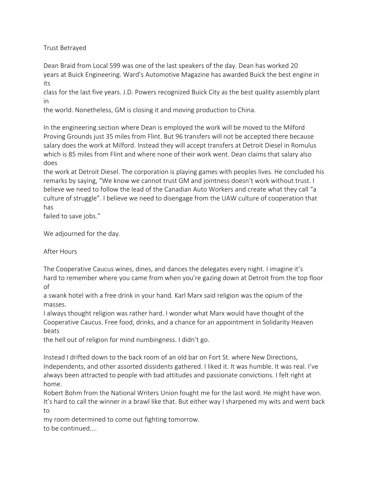Trust Betrayed

Dean Braid from Local 599 was one of the last speakers of the day. Dean has worked 20 years at Buick Engineering. Ward's Automotive Magazine has awarded Buick the best engine in its

class for the last five years. J.D. Powers recognized Buick City as the best quality assembly plant in

the world. Nonetheless, GM is closing it and moving production to China.

In the engineering section where Dean is employed the work will be moved to the Milford Proving Grounds just 35 miles from Flint. But 96 transfers will not be accepted there because salary does the work at Milford. Instead they will accept transfers at Detroit Diesel in Romulus which is 85 miles from Flint and where none of their work went. Dean claims that salary also does

the work at Detroit Diesel. The corporation is playing games with peoples lives. He concluded his remarks by saying, "We know we cannot trust GM and jointness doesn't work without trust. I believe we need to follow the lead of the Canadian Auto Workers and create what they call "a culture of struggle". I believe we need to disengage from the UAW culture of cooperation that has

failed to save jobs."

We adjourned for the day.

After Hours

The Cooperative Caucus wines, dines, and dances the delegates every night. I imagine it's hard to remember where you came from when you're gazing down at Detroit from the top floor of

a swank hotel with a free drink in your hand. Karl Marx said religion was the opium of the masses.

I always thought religion was rather hard. I wonder what Marx would have thought of the Cooperative Caucus. Free food, drinks, and a chance for an appointment in Solidarity Heaven beats

the hell out of religion for mind numbingness. I didn't go.

Instead I drifted down to the back room of an old bar on Fort St. where New Directions, Independents, and other assorted dissidents gathered. I liked it. It was humble. It was real. I've always been attracted to people with bad attitudes and passionate convictions. I felt right at home.

Robert Bohm from the National Writers Union fought me for the last word. He might have won. It's hard to call the winner in a brawl like that. But either way I sharpened my wits and went back to

my room determined to come out fighting tomorrow. to be continued....